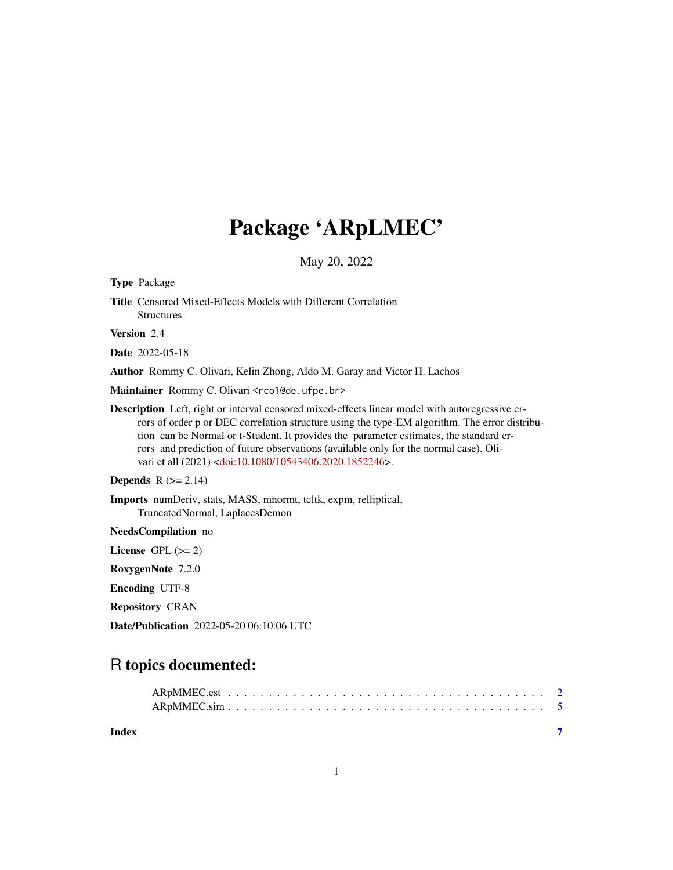## Package 'ARpLMEC'

May 20, 2022

Type Package

Title Censored Mixed-Effects Models with Different Correlation Structures

Version 2.4

Date 2022-05-18

Author Rommy C. Olivari, Kelin Zhong, Aldo M. Garay and Victor H. Lachos

Maintainer Rommy C. Olivari <rco1@de.ufpe.br>

Description Left, right or interval censored mixed-effects linear model with autoregressive errors of order p or DEC correlation structure using the type-EM algorithm. The error distribution can be Normal or t-Student. It provides the parameter estimates, the standard errors and prediction of future observations (available only for the normal case). Oli-vari et all (2021) [<doi:10.1080/10543406.2020.1852246>](https://doi.org/10.1080/10543406.2020.1852246).

**Depends**  $R$  ( $>= 2.14$ )

Imports numDeriv, stats, MASS, mnormt, tcltk, expm, relliptical, TruncatedNormal, LaplacesDemon

NeedsCompilation no

License GPL  $(>= 2)$ RoxygenNote 7.2.0

Encoding UTF-8

Repository CRAN

Date/Publication 2022-05-20 06:10:06 UTC

### R topics documented:

| Index |  |  |  |  |  |  |  |  |  |  |  |  |  |  |
|-------|--|--|--|--|--|--|--|--|--|--|--|--|--|--|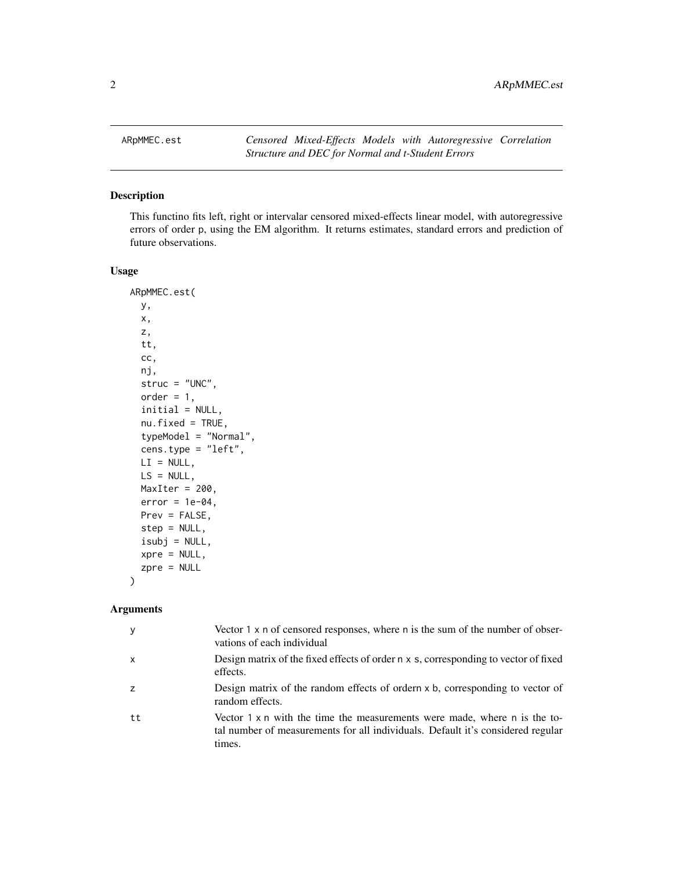<span id="page-1-0"></span>

#### Description

This functino fits left, right or intervalar censored mixed-effects linear model, with autoregressive errors of order p, using the EM algorithm. It returns estimates, standard errors and prediction of future observations.

#### Usage

```
ARpMMEC.est(
  y,
  x,
  z,
  tt,
  cc,
  nj,
  struc = "UNC",
  order = 1,
  initial = NULL,
  nu.fixed = TRUE,
  typeModel = "Normal",
  cens.type = "left",
 LI = NULL,LS = NULL,MaxIter = 200,
  error = 1e-04,
 Prev = FALSE,
  step = NULL,
  isubj = NULL,xpre = NULL,
  zpre = NULL
\mathcal{E}
```
#### Arguments

| у  | Vector $1 \times n$ of censored responses, where n is the sum of the number of obser-<br>vations of each individual                                                           |
|----|-------------------------------------------------------------------------------------------------------------------------------------------------------------------------------|
| x  | Design matrix of the fixed effects of order n x s, corresponding to vector of fixed<br>effects.                                                                               |
| z  | Design matrix of the random effects of ordern x b, corresponding to vector of<br>random effects.                                                                              |
| tt | Vector $1 \times n$ with the time the measurements were made, where n is the to-<br>tal number of measurements for all individuals. Default it's considered regular<br>times. |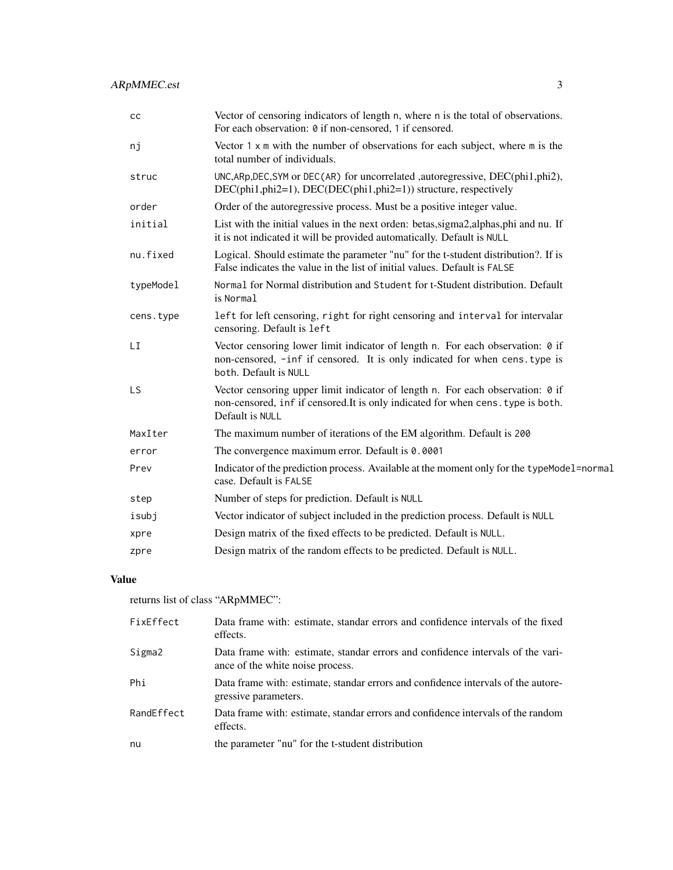| cc        | Vector of censoring indicators of length n, where n is the total of observations.<br>For each observation: 0 if non-censored, 1 if censored.                                           |
|-----------|----------------------------------------------------------------------------------------------------------------------------------------------------------------------------------------|
| nj        | Vector $1 \times m$ with the number of observations for each subject, where $m$ is the<br>total number of individuals.                                                                 |
| struc     | UNC, ARp, DEC, SYM or DEC(AR) for uncorrelated , autoregressive, DEC(phi1, phi2),<br>DEC(phi1,phi2=1), DEC(DEC(phi1,phi2=1)) structure, respectively                                   |
| order     | Order of the autoregressive process. Must be a positive integer value.                                                                                                                 |
| initial   | List with the initial values in the next orden: betas, sigma2, alphas, phi and nu. If<br>it is not indicated it will be provided automatically. Default is NULL                        |
| nu.fixed  | Logical. Should estimate the parameter "nu" for the t-student distribution?. If is<br>False indicates the value in the list of initial values. Default is FALSE                        |
| typeModel | Normal for Normal distribution and Student for t-Student distribution. Default<br>is Normal                                                                                            |
| cens.type | left for left censoring, right for right censoring and interval for intervalar<br>censoring. Default is left                                                                           |
| LI        | Vector censoring lower limit indicator of length n. For each observation: 0 if<br>non-censored, -inf if censored. It is only indicated for when cens. type is<br>both. Default is NULL |
| <b>LS</b> | Vector censoring upper limit indicator of length n. For each observation: 0 if<br>non-censored, inf if censored. It is only indicated for when cens. type is both.<br>Default is NULL  |
| MaxIter   | The maximum number of iterations of the EM algorithm. Default is 200                                                                                                                   |
| error     | The convergence maximum error. Default is 0.0001                                                                                                                                       |
| Prev      | Indicator of the prediction process. Available at the moment only for the typeModel=normal<br>case. Default is FALSE                                                                   |
| step      | Number of steps for prediction. Default is NULL                                                                                                                                        |
| isubj     | Vector indicator of subject included in the prediction process. Default is NULL                                                                                                        |
| xpre      | Design matrix of the fixed effects to be predicted. Default is NULL.                                                                                                                   |
| zpre      | Design matrix of the random effects to be predicted. Default is NULL.                                                                                                                  |

#### Value

returns list of class "ARpMMEC":

| FixEffect  | Data frame with: estimate, standar errors and confidence intervals of the fixed<br>effects.                         |
|------------|---------------------------------------------------------------------------------------------------------------------|
| Sigma2     | Data frame with: estimate, standar errors and confidence intervals of the vari-<br>ance of the white noise process. |
| Phi        | Data frame with: estimate, standar errors and confidence intervals of the autore-<br>gressive parameters.           |
| RandEffect | Data frame with: estimate, standar errors and confidence intervals of the random<br>effects.                        |
| nu         | the parameter "nu" for the t-student distribution                                                                   |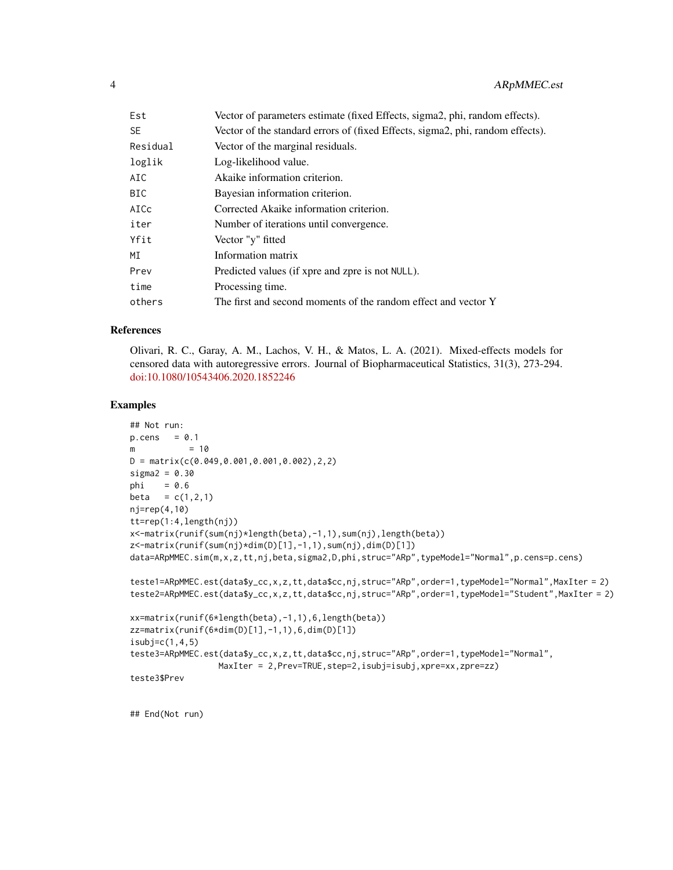| Est      | Vector of parameters estimate (fixed Effects, sigma2, phi, random effects).    |
|----------|--------------------------------------------------------------------------------|
| SE       | Vector of the standard errors of (fixed Effects, sigma2, phi, random effects). |
| Residual | Vector of the marginal residuals.                                              |
| loglik   | Log-likelihood value.                                                          |
| AIC      | Akaike information criterion.                                                  |
| BIC      | Bayesian information criterion.                                                |
| AICc     | Corrected Akaike information criterion.                                        |
| iter     | Number of iterations until convergence.                                        |
| Yfit     | Vector "y" fitted                                                              |
| МI       | Information matrix                                                             |
| Prev     | Predicted values (if xpre and zpre is not NULL).                               |
| time     | Processing time.                                                               |
| others   | The first and second moments of the random effect and vector Y                 |

#### References

Olivari, R. C., Garay, A. M., Lachos, V. H., & Matos, L. A. (2021). Mixed-effects models for censored data with autoregressive errors. Journal of Biopharmaceutical Statistics, 31(3), 273-294. [doi:10.1080/10543406.2020.1852246](https://doi.org/10.1080/10543406.2020.1852246)

#### Examples

```
## Not run:
p. cens = 0.1m = 10D = matrix(c(0.049, 0.001, 0.001, 0.002), 2, 2)sigma2 = 0.30phi = 0.6beta = c(1,2,1)nj=rep(4,10)
tt=rep(1:4,length(nj))
x<-matrix(runif(sum(nj)*length(beta),-1,1),sum(nj),length(beta))
z<-matrix(runif(sum(nj)*dim(D)[1],-1,1),sum(nj),dim(D)[1])
data=ARpMMEC.sim(m,x,z,tt,nj,beta,sigma2,D,phi,struc="ARp",typeModel="Normal",p.cens=p.cens)
teste1=ARpMMEC.est(data$y_cc,x,z,tt,data$cc,nj,struc="ARp",order=1,typeModel="Normal",MaxIter = 2)
teste2=ARpMMEC.est(data$y_cc,x,z,tt,data$cc,nj,struc="ARp",order=1,typeModel="Student",MaxIter = 2)
xx=matrix(runif(6*length(beta),-1,1),6,length(beta))
zz=matrix(runif(6*dim(D)[1],-1,1),6,dim(D)[1])
isubj=c(1,4,5)teste3=ARpMMEC.est(data$y_cc,x,z,tt,data$cc,nj,struc="ARp",order=1,typeModel="Normal",
                 MaxIter = 2,Prev=TRUE,step=2,isubj=isubj,xpre=xx,zpre=zz)
teste3$Prev
```
## End(Not run)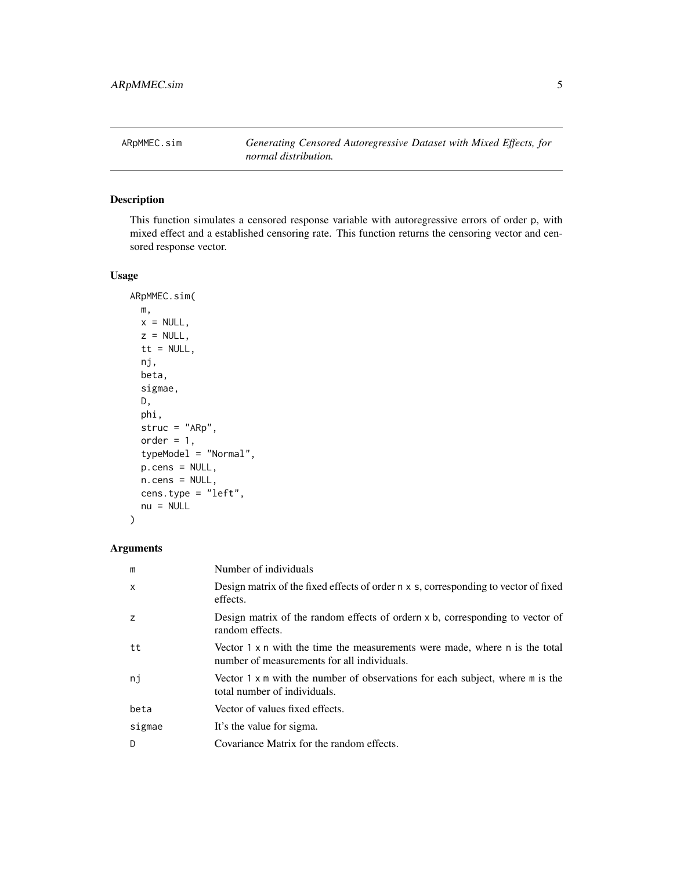<span id="page-4-0"></span>ARpMMEC.sim *Generating Censored Autoregressive Dataset with Mixed Effects, for normal distribution.*

#### Description

This function simulates a censored response variable with autoregressive errors of order p, with mixed effect and a established censoring rate. This function returns the censoring vector and censored response vector.

#### Usage

```
ARpMMEC.sim(
 m,
 x = NULL,z = NULL,tt = NULL,
 nj,
 beta,
  sigmae,
 D,
 phi,
  struc = "ARp",
  order = 1,
  typeModel = "Normal",
 p.cens = NULL,
 n.cens = NULL,
  cens.type = "left",
  nu = NULL)
```
#### Arguments

| m      | Number of individuals                                                                                                             |
|--------|-----------------------------------------------------------------------------------------------------------------------------------|
| X      | Design matrix of the fixed effects of order n x s, corresponding to vector of fixed<br>effects.                                   |
| z      | Design matrix of the random effects of ordern $x$ b, corresponding to vector of<br>random effects.                                |
| tt     | Vector $1 \times n$ with the time the measurements were made, where n is the total<br>number of measurements for all individuals. |
| ni     | Vector $1 \times m$ with the number of observations for each subject, where m is the<br>total number of individuals.              |
| beta   | Vector of values fixed effects.                                                                                                   |
| sigmae | It's the value for sigma.                                                                                                         |
| D      | Covariance Matrix for the random effects.                                                                                         |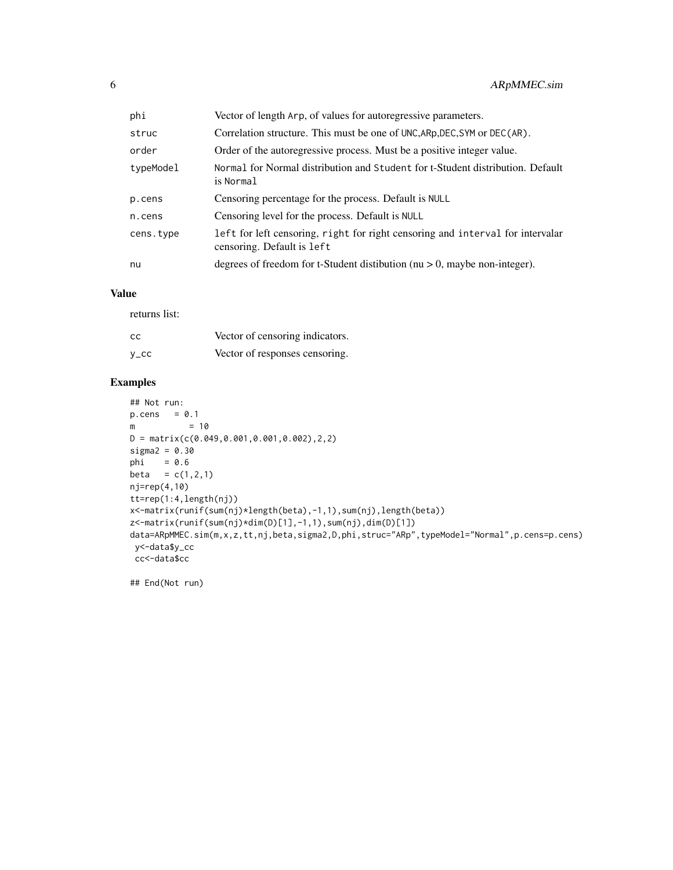| phi       | Vector of length Arp, of values for autoregressive parameters.                                               |
|-----------|--------------------------------------------------------------------------------------------------------------|
| struc     | Correlation structure. This must be one of UNC, ARp, DEC, SYM or DEC(AR).                                    |
| order     | Order of the autoregressive process. Must be a positive integer value.                                       |
| typeModel | Normal for Normal distribution and Student for t-Student distribution. Default<br>is Normal                  |
| p.cens    | Censoring percentage for the process. Default is NULL                                                        |
| n.cens    | Censoring level for the process. Default is NULL                                                             |
| cens.type | left for left censoring, right for right censoring and interval for intervalar<br>censoring. Default is left |
| nu        | degrees of freedom for t-Student distibution ( $nu > 0$ , maybe non-integer).                                |

#### Value

returns list:

| cc      | Vector of censoring indicators. |
|---------|---------------------------------|
| $y\_cc$ | Vector of responses censoring.  |

#### Examples

```
## Not run:
p. cens = 0.1m = 10D = matrix(c(0.049,0.001,0.001,0.002),2,2)
sigma2 = 0.30
phi = 0.6
beta = c(1, 2, 1)nj=rep(4,10)
tt=rep(1:4,length(nj))
x<-matrix(runif(sum(nj)*length(beta),-1,1),sum(nj),length(beta))
z<-matrix(runif(sum(nj)*dim(D)[1],-1,1),sum(nj),dim(D)[1])
data=ARpMMEC.sim(m,x,z,tt,nj,beta,sigma2,D,phi,struc="ARp",typeModel="Normal",p.cens=p.cens)
y<-data$y_cc
cc<-data$cc
```
## End(Not run)